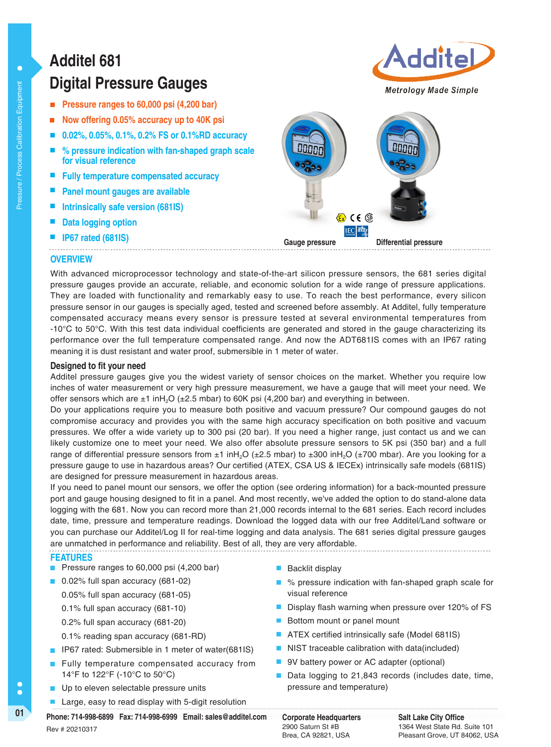# **Digital Pressure Gauges Additel 681**

- **Pressure ranges to 60,000 psi (4,200 bar)**
- **Now offering 0.05% accuracy up to 40K psi**
- **0.02%, 0.05%, 0.1%, 0.2% FS or 0.1%RD accuracy**
- **% pressure indication with fan-shaped graph scale for visual reference**
- **Fully temperature compensated accuracy**
- **Panel mount gauges are available**
- **Intrinsically safe version (681IS)**
- **Data logging option**
- **IP67 rated (681IS)**



Additel

**OVERVIEW**

With advanced microprocessor technology and state-of-the-art silicon pressure sensors, the 681 series digital pressure gauges provide an accurate, reliable, and economic solution for a wide range of pressure applications. They are loaded with functionality and remarkably easy to use. To reach the best performance, every silicon pressure sensor in our gauges is specially aged, tested and screened before assembly. At Additel, fully temperature compensated accuracy means every sensor is pressure tested at several environmental temperatures from -10°C to 50°C. With this test data individual coefficients are generated and stored in the gauge characterizing its performance over the full temperature compensated range. And now the ADT681IS comes with an IP67 rating meaning it is dust resistant and water proof, submersible in 1 meter of water.

### **Designed to fit your need**

Additel pressure gauges give you the widest variety of sensor choices on the market. Whether you require low inches of water measurement or very high pressure measurement, we have a gauge that will meet your need. We offer sensors which are  $\pm 1$  inH<sub>2</sub>O ( $\pm 2.5$  mbar) to 60K psi (4,200 bar) and everything in between.

Do your applications require you to measure both positive and vacuum pressure? Our compound gauges do not compromise accuracy and provides you with the same high accuracy specification on both positive and vacuum pressures. We offer a wide variety up to 300 psi (20 bar). If you need a higher range, just contact us and we can likely customize one to meet your need. We also offer absolute pressure sensors to 5K psi (350 bar) and a full range of differential pressure sensors from  $\pm 1$  inH<sub>2</sub>O ( $\pm 2.5$  mbar) to  $\pm 300$  inH<sub>2</sub>O ( $\pm 700$  mbar). Are you looking for a pressure gauge to use in hazardous areas? Our certified (ATEX, CSA US & IECEx) intrinsically safe models (681IS) are designed for pressure measurement in hazardous areas.

If you need to panel mount our sensors, we offer the option (see ordering information) for a back-mounted pressure port and gauge housing designed to fit in a panel. And most recently, we've added the option to do stand-alone data logging with the 681. Now you can record more than 21,000 records internal to the 681 series. Each record includes date, time, pressure and temperature readings. Download the logged data with our free Additel/Land software or you can purchase our Additel/Log II for real-time logging and data analysis. The 681 series digital pressure gauges are unmatched in performance and reliability. Best of all, they are very affordable. 

### **FEATURES**

- **Pressure ranges to 60,000 psi (4,200 bar)**
- 0.02% full span accuracy (681-02)
	- 0.05% full span accuracy (681-05)
	- 0.1% full span accuracy (681-10)
	- 0.2% full span accuracy (681-20)
	- 0.1% reading span accuracy (681-RD)
- **IFFERD** IP67 rated: Submersible in 1 meter of water(681IS)
- Fully temperature compensated accuracy from 14°F to 122°F (-10°C to 50°C)
- Up to eleven selectable pressure units
- Large, easy to read display with 5-digit resolution

Backlit display

- % pressure indication with fan-shaped graph scale for visual reference
- Display flash warning when pressure over 120% of FS
- Bottom mount or panel mount
- ATEX certified intrinsically safe (Model 681IS)
- NIST traceable calibration with data(included)
- 9V battery power or AC adapter (optional)
- Data logging to 21,843 records (includes date, time, pressure and temperature)
	- 2900 Saturn St #B Brea, CA 92821, USA

01 **Corporate Headquarters** Pax: 714-998-6999 Email: sales@additel.com Corporate Headquarters Rev # 20210317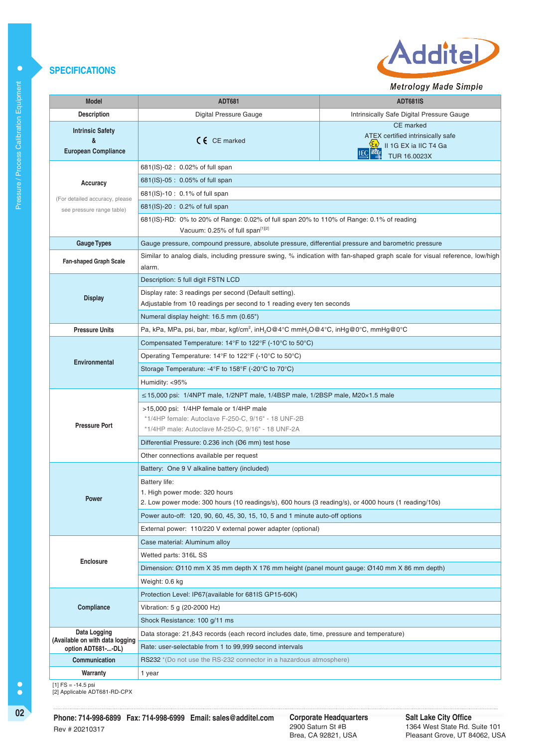### **SPECIFICATIONS**



Metrology Made Simple

| <b>Model</b>                                               | <b>ADT681</b>                                                                                                                                                                                                                                       | <b>ADT681IS</b>                                                                                                                                        |  |  |  |  |
|------------------------------------------------------------|-----------------------------------------------------------------------------------------------------------------------------------------------------------------------------------------------------------------------------------------------------|--------------------------------------------------------------------------------------------------------------------------------------------------------|--|--|--|--|
| <b>Description</b>                                         | Digital Pressure Gauge                                                                                                                                                                                                                              | Intrinsically Safe Digital Pressure Gauge                                                                                                              |  |  |  |  |
| <b>Intrinsic Safety</b><br>&<br><b>European Compliance</b> | $C \in \mathbb{C}$ CE marked                                                                                                                                                                                                                        | <b>CE</b> marked<br>ATEX certified intrinsically safe<br>$\langle \xi_{\rm X} \rangle$<br>II 1G EX ia IIC T4 Ga<br><b>IECEx</b><br><b>TUR 16.0023X</b> |  |  |  |  |
|                                                            | 681(IS)-02: 0.02% of full span                                                                                                                                                                                                                      |                                                                                                                                                        |  |  |  |  |
| Accuracy                                                   | 681(IS)-05 : 0.05% of full span                                                                                                                                                                                                                     |                                                                                                                                                        |  |  |  |  |
| (For detailed accuracy, please                             | 681(IS)-10: 0.1% of full span                                                                                                                                                                                                                       |                                                                                                                                                        |  |  |  |  |
| see pressure range table)                                  | 681(IS)-20: 0.2% of full span                                                                                                                                                                                                                       |                                                                                                                                                        |  |  |  |  |
|                                                            | 681(IS)-RD: 0% to 20% of Range: 0.02% of full span 20% to 110% of Range: 0.1% of reading<br>Vacuum: 0.25% of full span <sup>[1][2]</sup>                                                                                                            |                                                                                                                                                        |  |  |  |  |
| <b>Gauge Types</b>                                         | Gauge pressure, compound pressure, absolute pressure, differential pressure and barometric pressure                                                                                                                                                 |                                                                                                                                                        |  |  |  |  |
| Fan-shaped Graph Scale                                     | Similar to analog dials, including pressure swing, % indication with fan-shaped graph scale for visual reference, low/high<br>alarm.                                                                                                                |                                                                                                                                                        |  |  |  |  |
|                                                            | Description: 5 full digit FSTN LCD                                                                                                                                                                                                                  |                                                                                                                                                        |  |  |  |  |
| <b>Display</b>                                             | Display rate: 3 readings per second (Default setting).                                                                                                                                                                                              |                                                                                                                                                        |  |  |  |  |
|                                                            | Adjustable from 10 readings per second to 1 reading every ten seconds                                                                                                                                                                               |                                                                                                                                                        |  |  |  |  |
|                                                            | Numeral display height: 16.5 mm (0.65")                                                                                                                                                                                                             |                                                                                                                                                        |  |  |  |  |
| <b>Pressure Units</b>                                      | Pa, kPa, MPa, psi, bar, mbar, kgf/cm <sup>2</sup> , inH <sub>2</sub> O@4°C mmH <sub>2</sub> O@4°C, inHg@0°C, mmHg@0°C                                                                                                                               |                                                                                                                                                        |  |  |  |  |
|                                                            | Compensated Temperature: 14°F to 122°F (-10°C to 50°C)                                                                                                                                                                                              |                                                                                                                                                        |  |  |  |  |
| <b>Environmental</b>                                       | Operating Temperature: $14^{\circ}F$ to $122^{\circ}F$ (-10 $^{\circ}C$ to 50 $^{\circ}C$ )                                                                                                                                                         |                                                                                                                                                        |  |  |  |  |
|                                                            | Storage Temperature: -4°F to 158°F (-20°C to 70°C)                                                                                                                                                                                                  |                                                                                                                                                        |  |  |  |  |
|                                                            | Humidity: <95%                                                                                                                                                                                                                                      |                                                                                                                                                        |  |  |  |  |
| <b>Pressure Port</b>                                       | $\leq$ 15,000 psi: 1/4NPT male, 1/2NPT male, 1/4BSP male, 1/2BSP male, M20 $\times$ 1.5 male<br>>15,000 psi: 1/4HP female or 1/4HP male<br>*1/4HP female: Autoclave F-250-C, 9/16" - 18 UNF-2B<br>*1/4HP male: Autoclave M-250-C, 9/16" - 18 UNF-2A |                                                                                                                                                        |  |  |  |  |
|                                                            | Differential Pressure: 0.236 inch (Ø6 mm) test hose                                                                                                                                                                                                 |                                                                                                                                                        |  |  |  |  |
|                                                            | Other connections available per request                                                                                                                                                                                                             |                                                                                                                                                        |  |  |  |  |
| <b>Power</b>                                               | Battery: One 9 V alkaline battery (included)<br>Battery life:<br>1. High power mode: 320 hours<br>2. Low power mode: 300 hours (10 readings/s), 600 hours (3 reading/s), or 4000 hours (1 reading/10s)                                              |                                                                                                                                                        |  |  |  |  |
|                                                            | Power auto-off: 120, 90, 60, 45, 30, 15, 10, 5 and 1 minute auto-off options                                                                                                                                                                        |                                                                                                                                                        |  |  |  |  |
|                                                            | External power: 110/220 V external power adapter (optional)                                                                                                                                                                                         |                                                                                                                                                        |  |  |  |  |
|                                                            | Case material: Aluminum alloy                                                                                                                                                                                                                       |                                                                                                                                                        |  |  |  |  |
|                                                            | Wetted parts: 316L SS                                                                                                                                                                                                                               |                                                                                                                                                        |  |  |  |  |
| <b>Enclosure</b>                                           | Dimension: Ø110 mm X 35 mm depth X 176 mm height (panel mount gauge: Ø140 mm X 86 mm depth)                                                                                                                                                         |                                                                                                                                                        |  |  |  |  |
|                                                            | Weight: 0.6 kg                                                                                                                                                                                                                                      |                                                                                                                                                        |  |  |  |  |
|                                                            | Protection Level: IP67(available for 681IS GP15-60K)                                                                                                                                                                                                |                                                                                                                                                        |  |  |  |  |
| Compliance                                                 | Vibration: 5 g (20-2000 Hz)                                                                                                                                                                                                                         |                                                                                                                                                        |  |  |  |  |
|                                                            | Shock Resistance: 100 g/11 ms                                                                                                                                                                                                                       |                                                                                                                                                        |  |  |  |  |
| Data Logging<br>(Available on with data logging            | Data storage: 21,843 records (each record includes date, time, pressure and temperature)                                                                                                                                                            |                                                                                                                                                        |  |  |  |  |
| option ADT681--DL)                                         | Rate: user-selectable from 1 to 99,999 second intervals                                                                                                                                                                                             |                                                                                                                                                        |  |  |  |  |
| Communication                                              | <b>RS232</b> *(Do not use the RS-232 connector in a hazardous atmosphere)                                                                                                                                                                           |                                                                                                                                                        |  |  |  |  |
| Warranty                                                   | 1 year                                                                                                                                                                                                                                              |                                                                                                                                                        |  |  |  |  |
|                                                            |                                                                                                                                                                                                                                                     |                                                                                                                                                        |  |  |  |  |

[1] FS = -14.5 psi [2] Applicable ADT681-RD-CPX

 $\ddot{\bullet}$ 

**Corporate Headquarters**<br>2900 Saturn St #B Brea, CA 92821, USA

**Salt Lake City Office** 1364 West State Rd. Suite 101 Pleasant Grove, UT 84062, USA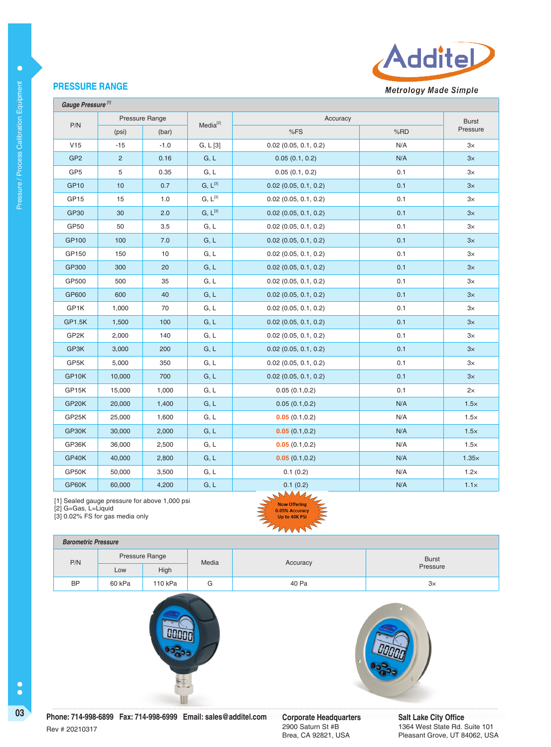

## **PRESSURE RANGE**

 **Gauge Pressure [1]**

| P/N                | Pressure Range |        | Media <sup>[2]</sup> | Accuracy                | <b>Burst</b> |             |
|--------------------|----------------|--------|----------------------|-------------------------|--------------|-------------|
|                    | (psi)          | (bar)  |                      | %FS                     | %RD          | Pressure    |
| V15                | $-15$          | $-1.0$ | G, L[3]              | $0.02$ (0.05, 0.1, 0.2) | N/A          | $3\times$   |
| GP <sub>2</sub>    | $\overline{2}$ | 0.16   | G, L                 | 0.05(0.1, 0.2)          | N/A          | 3x          |
| GP <sub>5</sub>    | 5              | 0.35   | G, L                 | 0.05(0.1, 0.2)          | 0.1          | 3x          |
| GP <sub>10</sub>   | $10$           | 0.7    | $G, L^{[3]}$         | $0.02$ (0.05, 0.1, 0.2) | 0.1          | 3x          |
| GP <sub>15</sub>   | 15             | 1.0    | $G, L^{[3]}$         | $0.02$ (0.05, 0.1, 0.2) | 0.1          | $3\times$   |
| GP30               | 30             | 2.0    | $G, L^{[3]}$         | $0.02$ (0.05, 0.1, 0.2) | 0.1          | 3x          |
| GP50               | 50             | 3.5    | G, L                 | $0.02$ (0.05, 0.1, 0.2) | 0.1          | $3\times$   |
| GP100              | 100            | 7.0    | G, L                 | $0.02$ (0.05, 0.1, 0.2) | 0.1          | 3x          |
| GP150              | 150            | 10     | G, L                 | $0.02$ (0.05, 0.1, 0.2) | 0.1          | $3\times$   |
| GP300              | 300            | 20     | G, L                 | $0.02$ (0.05, 0.1, 0.2) | 0.1          | 3x          |
| GP500              | 500            | 35     | G, L                 | $0.02$ (0.05, 0.1, 0.2) | 0.1          | $3\times$   |
| GP600              | 600            | 40     | G, L                 | $0.02$ (0.05, 0.1, 0.2) | 0.1          | $3\times$   |
| GP1K               | 1,000          | 70     | G, L                 | $0.02$ (0.05, 0.1, 0.2) | 0.1          | $3\times$   |
| GP1.5K             | 1,500          | 100    | G, L                 | $0.02$ (0.05, 0.1, 0.2) | 0.1          | 3x          |
| GP2K               | 2,000          | 140    | G, L                 | $0.02$ (0.05, 0.1, 0.2) | 0.1          | $3\times$   |
| GP3K               | 3,000          | 200    | G, L                 | $0.02$ (0.05, 0.1, 0.2) | 0.1          | $3\times$   |
| GP5K               | 5,000          | 350    | G, L                 | $0.02$ (0.05, 0.1, 0.2) | 0.1          | $3\times$   |
| GP10K              | 10,000         | 700    | G, L                 | $0.02$ (0.05, 0.1, 0.2) | 0.1          | $3\times$   |
| GP15K              | 15,000         | 1,000  | G, L                 | 0.05(0.1,0.2)           | 0.1          | 2x          |
| GP <sub>20</sub> K | 20,000         | 1,400  | G, L                 | 0.05(0.1, 0.2)          | N/A          | $1.5\times$ |
| GP25K              | 25,000         | 1,600  | G, L                 | 0.05(0.1, 0.2)          | N/A          | $1.5\times$ |
| GP30K              | 30,000         | 2,000  | G, L                 | 0.05(0.1, 0.2)          | N/A          | $1.5\times$ |
| GP36K              | 36,000         | 2,500  | G, L                 | 0.05(0.1, 0.2)          | N/A          | $1.5\times$ |
| GP40K              | 40,000         | 2,800  | G, L                 | 0.05(0.1, 0.2)          | N/A          | 1.35x       |
| GP50K              | 50,000         | 3,500  | G, L                 | 0.1(0.2)                | N/A          | $1.2\times$ |
| GP60K              | 60,000         | 4,200  | G, L                 | 0.1(0.2)                | N/A          | $1.1\times$ |

[1] Sealed gauge pressure for above 1,000 psi

[2] G=Gas, L=Liquid

[3] 0.02% FS for gas media only

## **Barometric Pressure**

| _________________________ |        |                |       |          |              |  |
|---------------------------|--------|----------------|-------|----------|--------------|--|
| P/N                       |        | Pressure Range | Media | Accuracy | <b>Burst</b> |  |
|                           | Low    | High           |       |          | Pressure     |  |
| <b>BP</b>                 | 60 kPa | 110 kPa        | G     | 40 Pa    | $3\times$    |  |

NA J **Now Offering** .05% Accuracy Up to 40K PS





 $\bullet$ 

2900 Saturn St #B Brea, CA 92821, USA **Salt Lake City Office** 1364 West State Rd. Suite 101 Pleasant Grove, UT 84062, USA